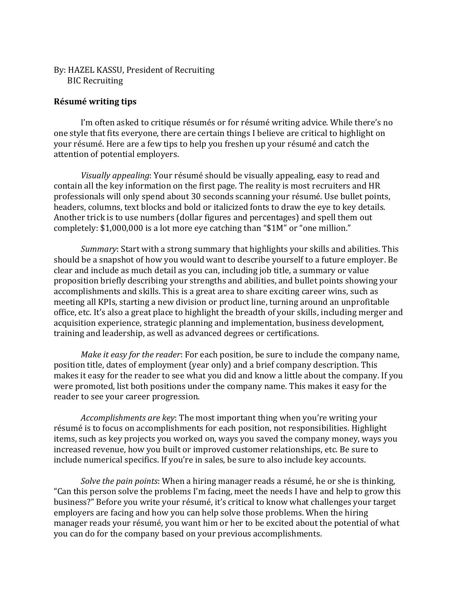## By: HAZEL KASSU, President of Recruiting BIC Recruiting

## **Résumé writing tips**

I'm often asked to critique résumés or for résumé writing advice. While there's no one style that fits everyone, there are certain things I believe are critical to highlight on your résumé. Here are a few tips to help you freshen up your résumé and catch the attention of potential employers.

*Visually appealing*: Your résumé should be visually appealing, easy to read and contain all the key information on the first page. The reality is most recruiters and HR professionals will only spend about 30 seconds scanning your résumé. Use bullet points, headers, columns, text blocks and bold or italicized fonts to draw the eve to key details. Another trick is to use numbers (dollar figures and percentages) and spell them out completely: \$1,000,000 is a lot more eye catching than "\$1M" or "one million."

*Summary*: Start with a strong summary that highlights your skills and abilities. This should be a snapshot of how you would want to describe yourself to a future employer. Be clear and include as much detail as you can, including job title, a summary or value proposition briefly describing your strengths and abilities, and bullet points showing your accomplishments and skills. This is a great area to share exciting career wins, such as meeting all KPIs, starting a new division or product line, turning around an unprofitable office, etc. It's also a great place to highlight the breadth of your skills, including merger and acquisition experience, strategic planning and implementation, business development, training and leadership, as well as advanced degrees or certifications.

*Make it easy for the reader*: For each position, be sure to include the company name, position title, dates of employment (year only) and a brief company description. This makes it easy for the reader to see what you did and know a little about the company. If you were promoted, list both positions under the company name. This makes it easy for the reader to see your career progression.

*Accomplishments are key*: The most important thing when you're writing your résumé is to focus on accomplishments for each position, not responsibilities. Highlight items, such as key projects you worked on, ways you saved the company money, ways you increased revenue, how you built or improved customer relationships, etc. Be sure to include numerical specifics. If you're in sales, be sure to also include key accounts.

*Solve the pain points*: When a hiring manager reads a résumé, he or she is thinking, "Can this person solve the problems I'm facing, meet the needs I have and help to grow this business?" Before you write your résumé, it's critical to know what challenges your target employers are facing and how you can help solve those problems. When the hiring manager reads your résumé, you want him or her to be excited about the potential of what you can do for the company based on your previous accomplishments.